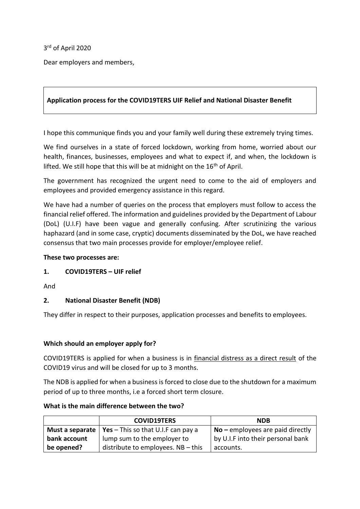3 rd of April 2020

Dear employers and members,

## **Application process for the COVID19TERS UIF Relief and National Disaster Benefit**

I hope this communique finds you and your family well during these extremely trying times.

We find ourselves in a state of forced lockdown, working from home, worried about our health, finances, businesses, employees and what to expect if, and when, the lockdown is lifted. We still hope that this will be at midnight on the  $16<sup>th</sup>$  of April.

The government has recognized the urgent need to come to the aid of employers and employees and provided emergency assistance in this regard.

We have had a number of queries on the process that employers must follow to access the financial relief offered. The information and guidelines provided by the Department of Labour (DoL) (U.I.F) have been vague and generally confusing. After scrutinizing the various haphazard (and in some case, cryptic) documents disseminated by the DoL, we have reached consensus that two main processes provide for employer/employee relief.

## **These two processes are:**

## **1. COVID19TERS – UIF relief**

And

# **2. National Disaster Benefit (NDB)**

They differ in respect to their purposes, application processes and benefits to employees.

## **Which should an employer apply for?**

COVID19TERS is applied for when a business is in financial distress as a direct result of the COVID19 virus and will be closed for up to 3 months.

The NDB is applied for when a business is forced to close due to the shutdown for a maximum period of up to three months, i.e a forced short term closure.

#### **What is the main difference between the two?**

|              | <b>COVID19TERS</b>                                            | <b>NDB</b>                         |
|--------------|---------------------------------------------------------------|------------------------------------|
|              | <b>Must a separate</b>   Yes $-$ This so that U.I.F can pay a | $No$ – employees are paid directly |
| bank account | lump sum to the employer to                                   | by U.I.F into their personal bank  |
| be opened?   | distribute to employees. $NB - this$                          | accounts.                          |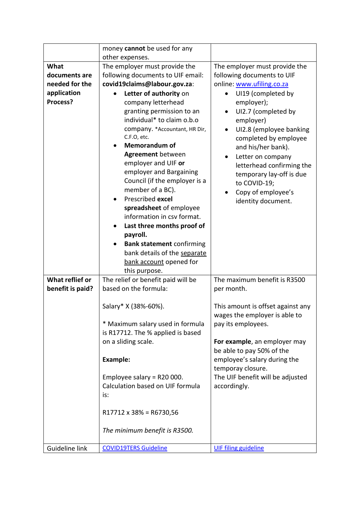|                        | money cannot be used for any                                                                                                                                                                                                                                                                                                                                                                                                                                                                                                                               |                                                                                                                                                                                                                                                                    |
|------------------------|------------------------------------------------------------------------------------------------------------------------------------------------------------------------------------------------------------------------------------------------------------------------------------------------------------------------------------------------------------------------------------------------------------------------------------------------------------------------------------------------------------------------------------------------------------|--------------------------------------------------------------------------------------------------------------------------------------------------------------------------------------------------------------------------------------------------------------------|
| What                   | other expenses.                                                                                                                                                                                                                                                                                                                                                                                                                                                                                                                                            |                                                                                                                                                                                                                                                                    |
| documents are          | The employer must provide the<br>following documents to UIF email:                                                                                                                                                                                                                                                                                                                                                                                                                                                                                         | The employer must provide the                                                                                                                                                                                                                                      |
|                        |                                                                                                                                                                                                                                                                                                                                                                                                                                                                                                                                                            | following documents to UIF                                                                                                                                                                                                                                         |
| needed for the         | covid19claims@labour.gov.za:                                                                                                                                                                                                                                                                                                                                                                                                                                                                                                                               | online: www.ufiling.co.za                                                                                                                                                                                                                                          |
| application            | Letter of authority on                                                                                                                                                                                                                                                                                                                                                                                                                                                                                                                                     | UI19 (completed by                                                                                                                                                                                                                                                 |
| Process?               | company letterhead<br>granting permission to an<br>individual* to claim o.b.o<br>company. * Accountant, HR Dir,<br>C.F.O, etc.<br><b>Memorandum of</b><br><b>Agreement</b> between<br>employer and UIF or<br>employer and Bargaining<br>Council (if the employer is a<br>member of a BC).<br>Prescribed excel<br>spreadsheet of employee<br>information in csv format.<br>Last three months proof of<br>$\bullet$<br>payroll.<br><b>Bank statement confirming</b><br>$\bullet$<br>bank details of the separate<br>bank account opened for<br>this purpose. | employer);<br>UI2.7 (completed by<br>employer)<br>UI2.8 (employee banking<br>completed by employee<br>and his/her bank).<br>Letter on company<br>letterhead confirming the<br>temporary lay-off is due<br>to COVID-19;<br>Copy of employee's<br>identity document. |
| <b>What reflief or</b> | The relief or benefit paid will be                                                                                                                                                                                                                                                                                                                                                                                                                                                                                                                         | The maximum benefit is R3500                                                                                                                                                                                                                                       |
| benefit is paid?       | based on the formula:                                                                                                                                                                                                                                                                                                                                                                                                                                                                                                                                      | per month.                                                                                                                                                                                                                                                         |
|                        | Salary* X (38%-60%).<br>* Maximum salary used in formula                                                                                                                                                                                                                                                                                                                                                                                                                                                                                                   | This amount is offset against any<br>wages the employer is able to<br>pay its employees.                                                                                                                                                                           |
|                        | is R17712. The % applied is based                                                                                                                                                                                                                                                                                                                                                                                                                                                                                                                          |                                                                                                                                                                                                                                                                    |
|                        | on a sliding scale.                                                                                                                                                                                                                                                                                                                                                                                                                                                                                                                                        | For example, an employer may<br>be able to pay 50% of the                                                                                                                                                                                                          |
|                        | <b>Example:</b>                                                                                                                                                                                                                                                                                                                                                                                                                                                                                                                                            | employee's salary during the<br>temporay closure.                                                                                                                                                                                                                  |
|                        | Employee salary = $R20000$ .<br>Calculation based on UIF formula<br>is:                                                                                                                                                                                                                                                                                                                                                                                                                                                                                    | The UIF benefit will be adjusted<br>accordingly.                                                                                                                                                                                                                   |
|                        | R17712 x 38% = R6730,56                                                                                                                                                                                                                                                                                                                                                                                                                                                                                                                                    |                                                                                                                                                                                                                                                                    |
|                        | The minimum benefit is R3500.                                                                                                                                                                                                                                                                                                                                                                                                                                                                                                                              |                                                                                                                                                                                                                                                                    |
| Guideline link         | <b>COVID19TERS Guideline</b>                                                                                                                                                                                                                                                                                                                                                                                                                                                                                                                               | <b>UIF filing guideline</b>                                                                                                                                                                                                                                        |